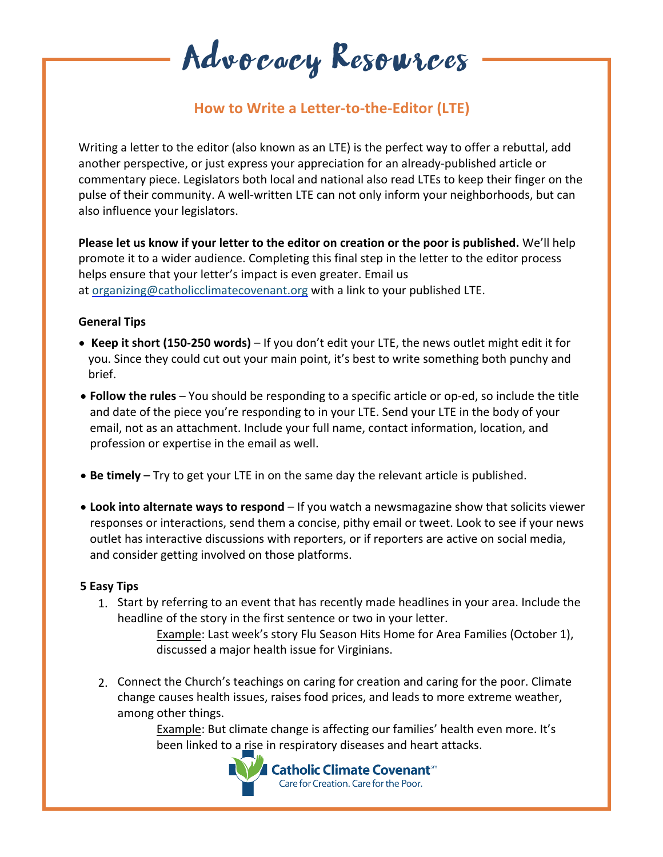Advocacy Resources

# **How to Write a Letter-to-the-Editor (LTE)**

Writing a letter to the editor (also known as an LTE) is the perfect way to offer a rebuttal, add another perspective, or just express your appreciation for an already-published article or commentary piece. Legislators both local and national also read LTEs to keep their finger on the pulse of their community. A well-written LTE can not only inform your neighborhoods, but can also influence your legislators.

**Please let us know if your letter to the editor on creation or the poor is published.** We'll help promote it to a wider audience. Completing this final step in the letter to the editor process helps ensure that your letter's impact is even greater. Email us at organizing@catholicclimatecovenant.org with a link to your published LTE.

#### **General Tips**

- **Keep it short (150-250 words)** If you don't edit your LTE, the news outlet might edit it for you. Since they could cut out your main point, it's best to write something both punchy and brief.
- **Follow the rules** You should be responding to a specific article or op-ed, so include the title and date of the piece you're responding to in your LTE. Send your LTE in the body of your email, not as an attachment. Include your full name, contact information, location, and profession or expertise in the email as well.
- **Be timely** Try to get your LTE in on the same day the relevant article is published.
- **Look into alternate ways to respond** If you watch a newsmagazine show that solicits viewer responses or interactions, send them a concise, pithy email or tweet. Look to see if your news outlet has interactive discussions with reporters, or if reporters are active on social media, and consider getting involved on those platforms.

#### **5 Easy Tips**

1. Start by referring to an event that has recently made headlines in your area. Include the headline of the story in the first sentence or two in your letter.

> Example: Last week's story Flu Season Hits Home for Area Families (October 1), discussed a major health issue for Virginians.

2. Connect the Church's teachings on caring for creation and caring for the poor. Climate change causes health issues, raises food prices, and leads to more extreme weather, among other things.

> Example: But climate change is affecting our families' health even more. It's been linked to a rise in respiratory diseases and heart attacks.

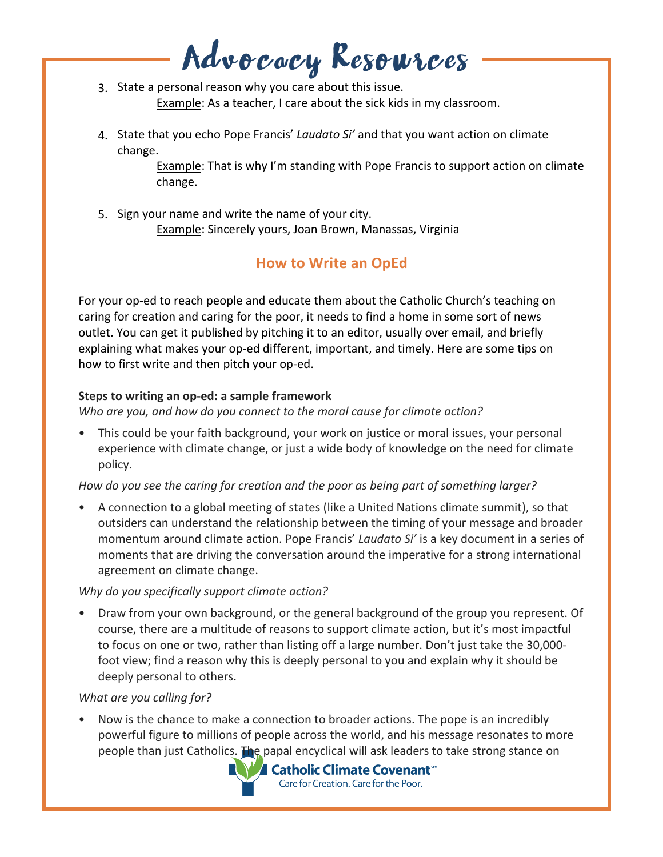# Advocacy Resources

- 3. State a personal reason why you care about this issue. Example: As a teacher, I care about the sick kids in my classroom.
- 4. State that you echo Pope Francis' *Laudato Si'* and that you want action on climate change.

Example: That is why I'm standing with Pope Francis to support action on climate change.

5. Sign your name and write the name of your city. Example: Sincerely yours, Joan Brown, Manassas, Virginia

# **How to Write an OpEd**

For your op-ed to reach people and educate them about the Catholic Church's teaching on caring for creation and caring for the poor, it needs to find a home in some sort of news outlet. You can get it published by pitching it to an editor, usually over email, and briefly explaining what makes your op-ed different, important, and timely. Here are some tips on how to first write and then pitch your op-ed.

### **Steps to writing an op-ed: a sample framework**

*Who are you, and how do you connect to the moral cause for climate action?*

• This could be your faith background, your work on justice or moral issues, your personal experience with climate change, or just a wide body of knowledge on the need for climate policy.

*How do you see the caring for creation and the poor as being part of something larger?*

• A connection to a global meeting of states (like a United Nations climate summit), so that outsiders can understand the relationship between the timing of your message and broader momentum around climate action. Pope Francis' *Laudato Si'* is a key document in a series of moments that are driving the conversation around the imperative for a strong international agreement on climate change.

## *Why do you specifically support climate action?*

• Draw from your own background, or the general background of the group you represent. Of course, there are a multitude of reasons to support climate action, but it's most impactful to focus on one or two, rather than listing off a large number. Don't just take the 30,000 foot view; find a reason why this is deeply personal to you and explain why it should be deeply personal to others.

*What are you calling for?*

• Now is the chance to make a connection to broader actions. The pope is an incredibly powerful figure to millions of people across the world, and his message resonates to more people than just Catholics. The papal encyclical will ask leaders to take strong stance on



*A* Catholic Climate Covenant® Care for Creation. Care for the Poor.